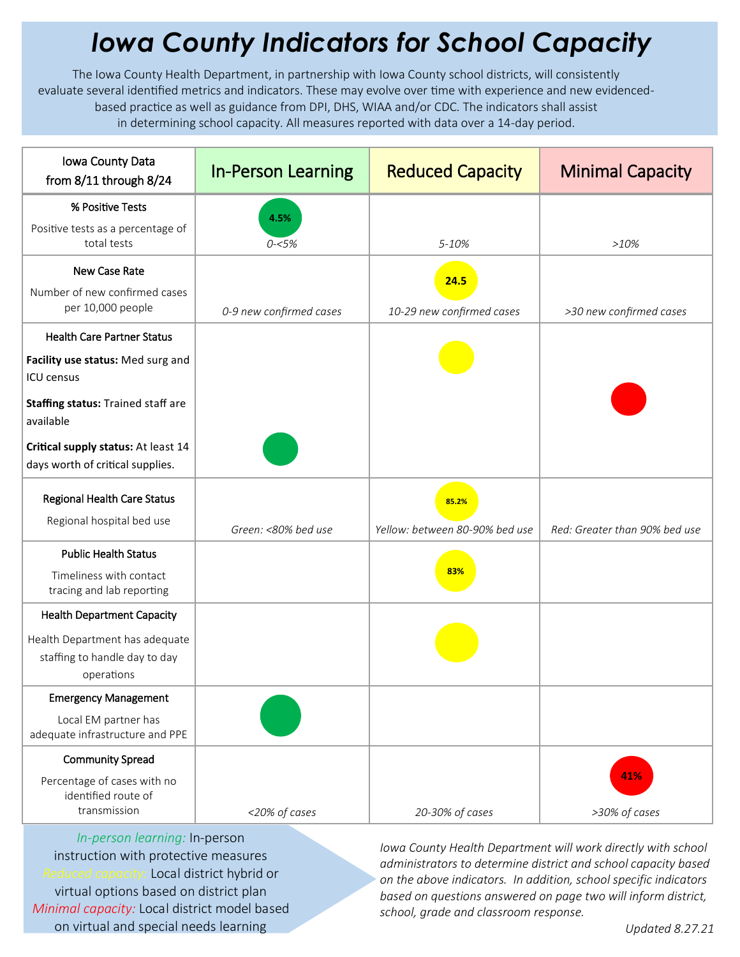## *Iowa County Indicators for School Capacity*

The Iowa County Health Department, in partnership with Iowa County school districts, will consistently evaluate several identified metrics and indicators. These may evolve over time with experience and new evidencedbased practice as well as guidance from DPI, DHS, WIAA and/or CDC. The indicators shall assist in determining school capacity. All measures reported with data over a 14-day period.

| Iowa County Data<br>from 8/11 through 8/24                                    | <b>In-Person Learning</b> | <b>Reduced Capacity</b>        | <b>Minimal Capacity</b>       |
|-------------------------------------------------------------------------------|---------------------------|--------------------------------|-------------------------------|
| % Positive Tests                                                              | 4.5%                      |                                |                               |
| Positive tests as a percentage of<br>total tests                              | $0 - 5%$                  | 5-10%                          | >10%                          |
| New Case Rate                                                                 |                           | 24.5                           |                               |
| Number of new confirmed cases<br>per 10,000 people                            | 0-9 new confirmed cases   | 10-29 new confirmed cases      | >30 new confirmed cases       |
| <b>Health Care Partner Status</b>                                             |                           |                                |                               |
| Facility use status: Med surg and<br><b>ICU</b> census                        |                           |                                |                               |
| Staffing status: Trained staff are<br>available                               |                           |                                |                               |
| Critical supply status: At least 14<br>days worth of critical supplies.       |                           |                                |                               |
| Regional Health Care Status                                                   |                           | 85.2%                          |                               |
| Regional hospital bed use                                                     | Green: <80% bed use       | Yellow: between 80-90% bed use | Red: Greater than 90% bed use |
| <b>Public Health Status</b>                                                   |                           |                                |                               |
| Timeliness with contact<br>tracing and lab reporting                          |                           | 83%                            |                               |
| <b>Health Department Capacity</b>                                             |                           |                                |                               |
| Health Department has adequate<br>staffing to handle day to day<br>operations |                           |                                |                               |
| <b>Emergency Management</b>                                                   |                           |                                |                               |
| Local EM partner has<br>adequate infrastructure and PPE                       |                           |                                |                               |
| <b>Community Spread</b>                                                       |                           |                                |                               |
| Percentage of cases with no<br>identified route of<br>transmission            | <20% of cases             | 20-30% of cases                | 41%<br>>30% of cases          |
|                                                                               |                           |                                |                               |

*In-person learning:* In-person instruction with protective measures *Reduced capacity:* Local district hybrid or virtual options based on district plan *Minimal capacity:* Local district model based on virtual and special needs learning

*Iowa County Health Department will work directly with school administrators to determine district and school capacity based on the above indicators. In addition, school specific indicators based on questions answered on page two will inform district, school, grade and classroom response.*